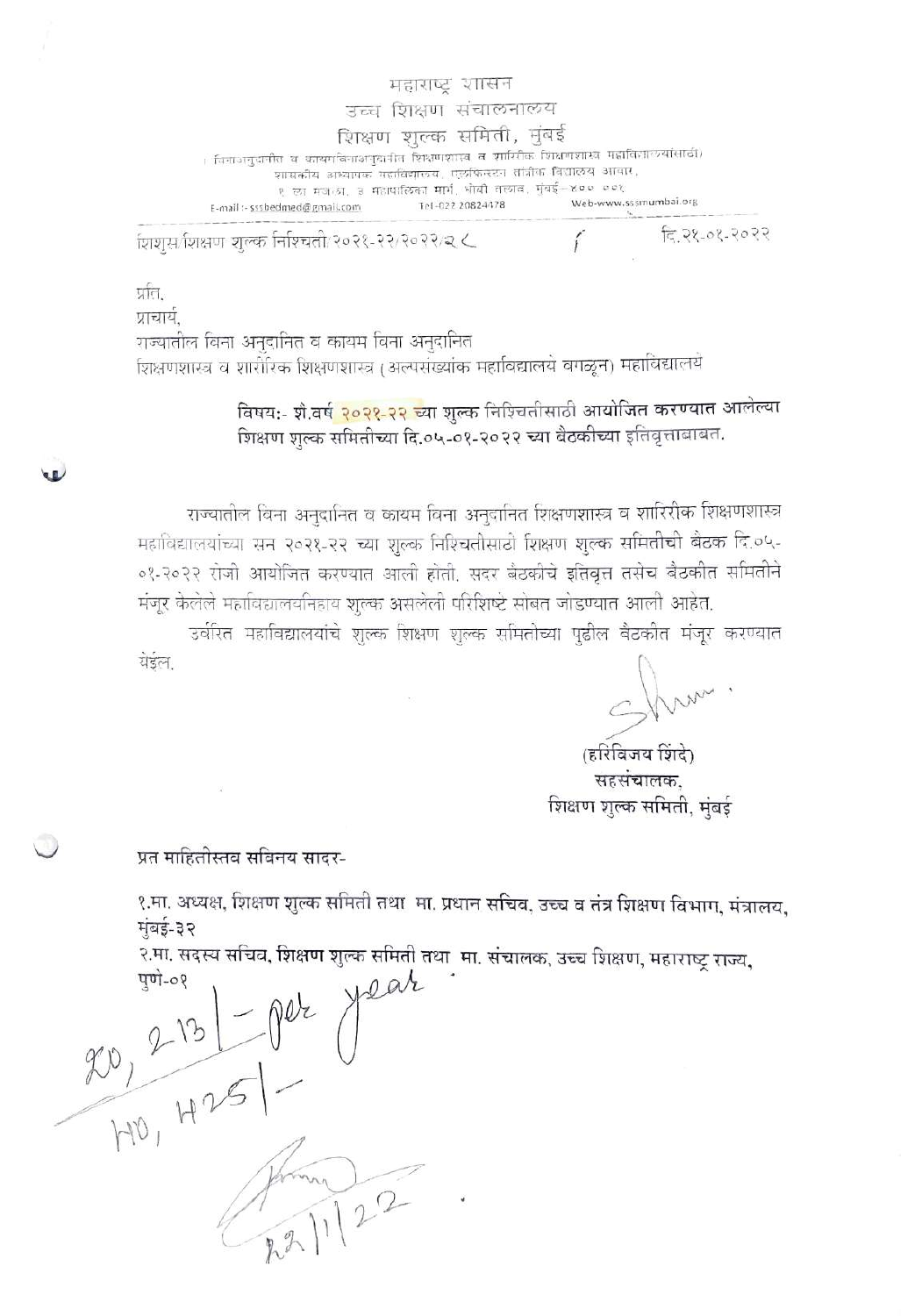महाराष्ट शासन उच्च शिक्षण संचालनालय शिक्षण शुल्क समिती, मुंबई । विनाञानुदानीतं च कावगविनाअनुदानीतं शिक्षणशास्त्रं व शारिरीकं शिक्षणशास्त्रं महाविज्ञान्त्र्यांसाठी) शासकीय अध्यापक गहाविद्यालय, एलफिन्स्टन तांत्रीक विद्यालय आचार, ९ का मजल्श, ३ महापालिका मार्ग, धोबी तत्याव, मुंबई-४०० ००१ Web-www.sssmumbai.org Tel-022 20824478 E-mail :- sssbedmed@gmail.com

शिशुसर्गशक्षण शुल्क निश्चिती/२०२१-२२/२०२२/२ ८

दि. २१-०१-२०२२

र्प्रांत. प्राचार्य. राज्यातील विना अनुदानित व कायम विना अनुदानित शिक्षणशास्त्र व शारीरिक शिक्षणशास्त्र (अल्पसंख्यांक महाविद्यालये वगळून) महाविद्यालये

> विषय:- शे.वर्ष <mark>२०२१-२२ च्</mark>या शुल्क निश्चितीसाठी आयोजित करण्यात आलेल्या शिक्षण शुल्क समितीच्या दि.०५-०१-२०२२ च्या बैठकीच्या इतिवृत्ताबाबत.

राज्यातील विना अनुदानित व कायम विना अनुदानित शिक्षणशास्त्र व शारिरीक शिक्षणशास्त्र महाविद्यालयांच्या सन २०२१-२२ च्या शुल्क निश्चितीसाठी शिक्षण शुल्क समितीची बैठक दि.०५-०१-२०२२ रोजी आयोजित करण्यात आली होती. सदर बैठकीचे इतिवृत्त तसेच बैठकीत समितीने मंजूर केलेले महाविद्यालयनिहाय शुल्क असलेली परिशिष्टे सोबत जोडण्यात आली आहेत.

उर्वरित महाविद्यालयांचे शुल्क शिक्षण शुल्क समितीच्या पुढील बैटकीत मंजूर करण्यात येइल

(हरिविजय शिंदे सहसंचालक. शिक्षण शुल्क समिती, मुंबई

प्रत माहितीस्तव सविनय सादर-

**UD** 

१.मा. अध्यक्ष, शिक्षण शुल्क समिती तथा मा. प्रधान सचिव, उच्च व तंत्र शिक्षण विभाग, मंत्रालय, मुंबई-३२

२.मा. सदस्य सचिव, शिक्षण शुल्क समिती तथा) मा. संचालक, उच्च शिक्षण, महाराष्ट्र राज्य,

 $\frac{213}{110},\frac{213}{11251}-002$